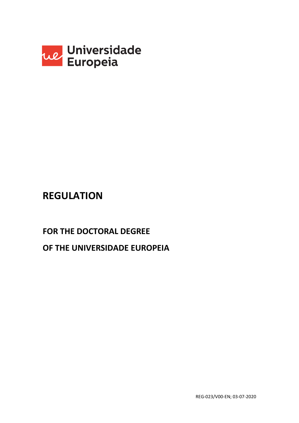

## **REGULATION**

# **FOR THE DOCTORAL DEGREE OF THE UNIVERSIDADE EUROPEIA**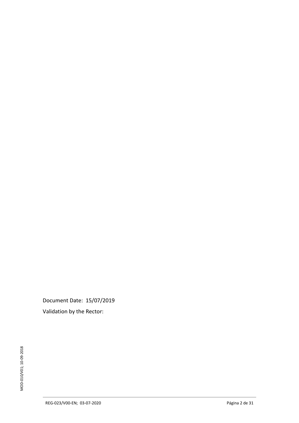Document Date: 15/07/2019 Validation by the Rector: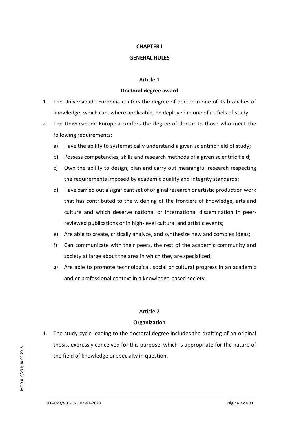#### **CHAPTER I**

#### **GENERAL RULES**

#### Article 1

#### **Doctoral degree award**

- 1. The Universidade Europeia confers the degree of doctor in one of its branches of knowledge, which can, where applicable, be deployed in one of its fiels of study.
- 2. The Universidade Europeia confers the degree of doctor to those who meet the following requirements:
	- a) Have the ability to systematically understand a given scientific field of study;
	- b) Possess competencies, skills and research methods of a given scientific field;
	- c) Own the ability to design, plan and carry out meaningful research respecting the requirements imposed by academic quality and integrity standards;
	- d) Have carried out a significant set of original research or artistic production work that has contributed to the widening of the frontiers of knowledge, arts and culture and which deserve national or international dissemination in peerreviewed publications or in high-level cultural and artistic events;
	- e) Are able to create, critically analyze, and synthesize new and complex ideas;
	- f) Can communicate with their peers, the rest of the academic community and society at large about the area in which they are specialized;
	- g) Are able to promote technological, social or cultural progress in an academic and or professional context in a knowledge-based society.

## Article 2

## **Organization**

1. The study cycle leading to the doctoral degree includes the drafting of an original thesis, expressly conceived for this purpose, which is appropriate for the nature of the field of knowledge or specialty in question.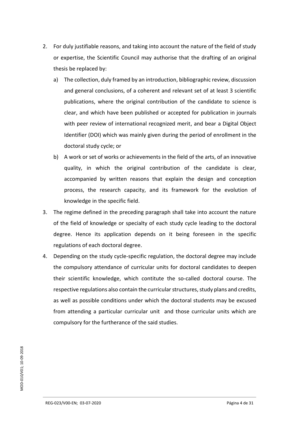- 2. For duly justifiable reasons, and taking into account the nature of the field of study or expertise, the Scientific Council may authorise that the drafting of an original thesis be replaced by:
	- a) The collection, duly framed by an introduction, bibliographic review, discussion and general conclusions, of a coherent and relevant set of at least 3 scientific publications, where the original contribution of the candidate to science is clear, and which have been published or accepted for publication in journals with peer review of international recognized merit, and bear a Digital Object Identifier (DOI) which was mainly given during the period of enrollment in the doctoral study cycle; or
	- b) A work or set of works or achievements in the field of the arts, of an innovative quality, in which the original contribution of the candidate is clear, accompanied by written reasons that explain the design and conception process, the research capacity, and its framework for the evolution of knowledge in the specific field.
- 3. The regime defined in the preceding paragraph shall take into account the nature of the field of knowledge or specialty of each study cycle leading to the doctoral degree. Hence its application depends on it being foreseen in the specific regulations of each doctoral degree.
- 4. Depending on the study cycle-specific regulation, the doctoral degree may include the compulsory attendance of curricular units for doctoral candidates to deepen their scientific knowledge, which contitute the so-called doctoral course. The respective regulations also contain the curricular structures, study plans and credits, as well as possible conditions under which the doctoral students may be excused from attending a particular curricular unit and those curricular units which are compulsory for the furtherance of the said studies.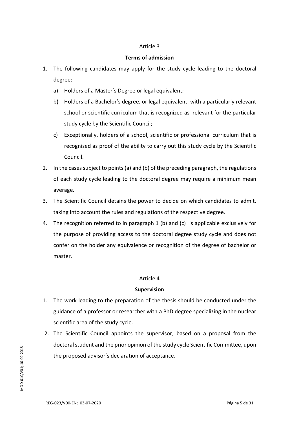## **Terms of admission**

- 1. The following candidates may apply for the study cycle leading to the doctoral degree:
	- a) Holders of a Master's Degree or legal equivalent;
	- b) Holders of a Bachelor's degree, or legal equivalent, with a particularly relevant school or scientific curriculum that is recognized as relevant for the particular study cycle by the Scientific Council;
	- c) Exceptionally, holders of a school, scientific or professional curriculum that is recognised as proof of the ability to carry out this study cycle by the Scientific Council.
- 2. In the cases subject to points (a) and (b) of the preceding paragraph, the regulations of each study cycle leading to the doctoral degree may require a minimum mean average.
- 3. The Scientific Council detains the power to decide on which candidates to admit, taking into account the rules and regulations of the respective degree.
- 4. The recognition referred to in paragraph 1 (b) and (c) is applicable exclusively for the purpose of providing access to the doctoral degree study cycle and does not confer on the holder any equivalence or recognition of the degree of bachelor or master.

## Article 4

## **Supervision**

- 1. The work leading to the preparation of the thesis should be conducted under the guidance of a professor or researcher with a PhD degree specializing in the nuclear scientific area of the study cycle.
- 2. The Scientific Council appoints the supervisor, based on a proposal from the doctoral student and the prior opinion of the study cycle Scientific Committee, upon the proposed advisor's declaration of acceptance.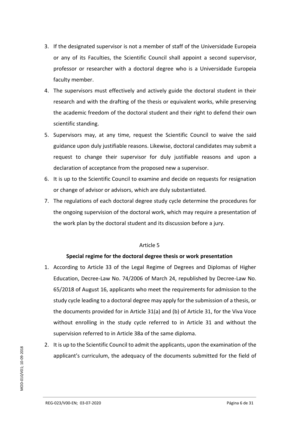- 3. If the designated supervisor is not a member of staff of the Universidade Europeia or any of its Faculties, the Scientific Council shall appoint a second supervisor, professor or researcher with a doctoral degree who is a Universidade Europeia faculty member.
- 4. The supervisors must effectively and actively guide the doctoral student in their research and with the drafting of the thesis or equivalent works, while preserving the academic freedom of the doctoral student and their right to defend their own scientific standing.
- 5. Supervisors may, at any time, request the Scientific Council to waive the said guidance upon duly justifiable reasons. Likewise, doctoral candidates may submit a request to change their supervisor for duly justifiable reasons and upon a declaration of acceptance from the proposed new a supervisor.
- 6. It is up to the Scientific Council to examine and decide on requests for resignation or change of advisor or advisors, which are duly substantiated.
- 7. The regulations of each doctoral degree study cycle determine the procedures for the ongoing supervision of the doctoral work, which may require a presentation of the work plan by the doctoral student and its discussion before a jury.

## **Special regime for the doctoral degree thesis or work presentation**

- 1. According to Article 33 of the Legal Regime of Degrees and Diplomas of Higher Education, Decree-Law No. 74/2006 of March 24, republished by Decree-Law No. 65/2018 of August 16, applicants who meet the requirements for admission to the study cycle leading to a doctoral degree may apply for the submission of a thesis, or the documents provided for in Article 31(a) and (b) of Article 31, for the Viva Voce without enrolling in the study cycle referred to in Article 31 and without the supervision referred to in Article 38a of the same diploma.
- 2. It is up to the Scientific Council to admit the applicants, upon the examination of the applicant's curriculum, the adequacy of the documents submitted for the field of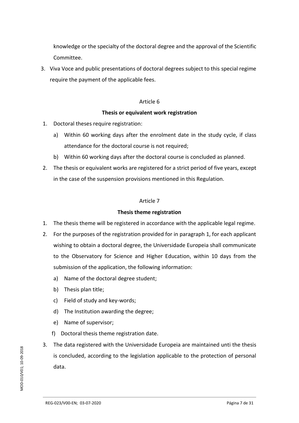knowledge or the specialty of the doctoral degree and the approval of the Scientific Committee.

3. Viva Voce and public presentations of doctoral degrees subject to this special regime require the payment of the applicable fees.

## Article 6

## **Thesis or equivalent work registration**

- 1. Doctoral theses require registration:
	- a) Within 60 working days after the enrolment date in the study cycle, if class attendance for the doctoral course is not required;
	- b) Within 60 working days after the doctoral course is concluded as planned.
- 2. The thesis or equivalent works are registered for a strict period of five years, except in the case of the suspension provisions mentioned in this Regulation.

## Article 7

## **Thesis theme registration**

- 1. The thesis theme will be registered in accordance with the applicable legal regime.
- 2. For the purposes of the registration provided for in paragraph 1, for each applicant wishing to obtain a doctoral degree, the Universidade Europeia shall communicate to the Observatory for Science and Higher Education, within 10 days from the submission of the application, the following information:
	- a) Name of the doctoral degree student;
	- b) Thesis plan title;
	- c) Field of study and key-words;
	- d) The Institution awarding the degree;
	- e) Name of supervisor;
	- f) Doctoral thesis theme registration date.
- 3. The data registered with the Universidade Europeia are maintained unti the thesis is concluded, according to the legislation applicable to the protection of personal data.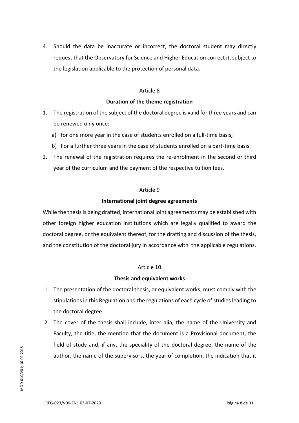4. Should the data be inaccurate or incorrect, the doctoral student may directly request that the Observatory for Science and Higher Education correct it, subject to the legislation applicable to the protection of personal data.

#### Article 8

#### **Duration of the theme registration**

- 1. The registration of the subject of the doctoral degree is valid for three years and can be renewed only once:
	- a) for one more year in the case of students enrolled on a full-time basis;
	- b) For a further three years in the case of students enrolled on a part-time basis.
- 2. The renewal of the registration requires the re-enrolment in the second or third year of the curriculum and the payment of the respective tuition fees.

## Article 9

## **International joint degree agreements**

While the thesis is being drafted, international joint agreements may be established with other foreign higher education institutions which are legally qualified to award the doctoral degree, or the equivalent thereof, for the drafting and discussion of the thesis, and the constitution of the doctoral jury in accordance with the applicable regulations.

## Article 10

## **Thesis and equivalent works**

- 1. The presentation of the doctoral thesis, or equivalent works, must comply with the stipulations in this Regulation and the regulations of each cycle of studies leading to the doctoral degree.
- 2. The cover of the thesis shall include, inter alia, the name of the University and Faculty, the title, the mention that the document is a Provisional document, the field of study and, if any, the speciality of the doctoral degree, the name of the author, the name of the supervisors, the year of completion, the indication that it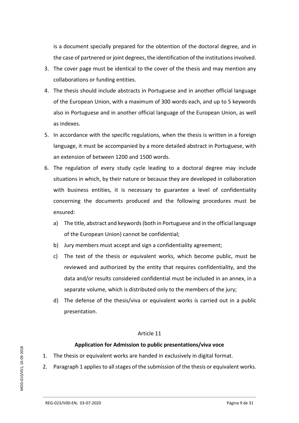is a document specially prepared for the obtention of the doctoral degree, and in the case of partnered or joint degrees, the identification of the institutions involved.

- 3. The cover page must be identical to the cover of the thesis and may mention any collaborations or funding entities.
- 4. The thesis should include abstracts in Portuguese and in another official language of the European Union, with a maximum of 300 words each, and up to 5 keywords also in Portuguese and in another official language of the European Union, as well as indexes.
- 5. In accordance with the specific regulations, when the thesis is written in a foreign language, it must be accompanied by a more detailed abstract in Portuguese, with an extension of between 1200 and 1500 words.
- 6. The regulation of every study cycle leading to a doctoral degree may include situations in which, by their nature or because they are developed in collaboration with business entities, it is necessary to guarantee a level of confidentiality concerning the documents produced and the following procedures must be ensured:
	- a) The title, abstract and keywords (both in Portuguese and in the official language of the European Union) cannot be confidential;
	- b) Jury members must accept and sign a confidentiality agreement;
	- c) The text of the thesis or equivalent works, which become public, must be reviewed and authorized by the entity that requires confidentiality, and the data and/or results considered confidential must be included in an annex, in a separate volume, which is distributed only to the members of the jury;
	- d) The defense of the thesis/viva or equivalent works is carried out in a public presentation.

## Article 11

## **Application for Admission to public presentations/viva voce**

- 1. The thesis or equivalent works are handed in exclusively in digital format.
- 2. Paragraph 1 appliesto all stages of the submission of the thesis or equivalent works.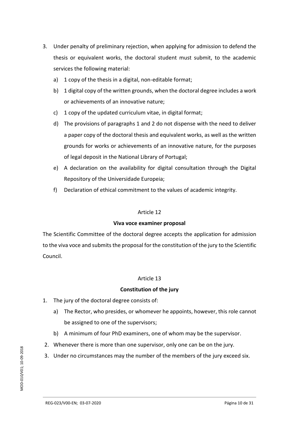- 3. Under penalty of preliminary rejection, when applying for admission to defend the thesis or equivalent works, the doctoral student must submit, to the academic services the following material:
	- a) 1 copy of the thesis in a digital, non-editable format;
	- b) 1 digital copy of the written grounds, when the doctoral degree includes a work or achievements of an innovative nature;
	- c) 1 copy of the updated curriculum vitae, in digital format;
	- d) The provisions of paragraphs 1 and 2 do not dispense with the need to deliver a paper copy of the doctoral thesis and equivalent works, as well as the written grounds for works or achievements of an innovative nature, for the purposes of legal deposit in the National Library of Portugal;
	- e) A declaration on the availability for digital consultation through the Digital Repository of the Universidade Europeia;
	- f) Declaration of ethical commitment to the values of academic integrity.

## **Viva voce examiner proposal**

The Scientific Committee of the doctoral degree accepts the application for admission to the viva voce and submits the proposal for the constitution of the jury to the Scientific Council.

## Article 13

## **Constitution of the jury**

- 1. The jury of the doctoral degree consists of:
	- a) The Rector, who presides, or whomever he appoints, however, this role cannot be assigned to one of the supervisors;
	- b) A minimum of four PhD examiners, one of whom may be the supervisor.
- 2. Whenever there is more than one supervisor, only one can be on the jury.
- 3. Under no circumstances may the number of the members of the jury exceed six.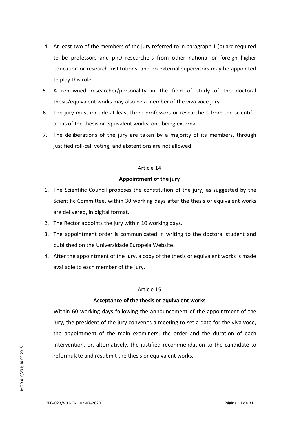- 4. At least two of the members of the jury referred to in paragraph 1 (b) are required to be professors and phD researchers from other national or foreign higher education or research institutions, and no external supervisors may be appointed to play this role.
- 5. A renowned researcher/personality in the field of study of the doctoral thesis/equivalent works may also be a member of the viva voce jury.
- 6. The jury must include at least three professors or researchers from the scientific areas of the thesis or equivalent works, one being external.
- 7. The deliberations of the jury are taken by a majority of its members, through justified roll-call voting, and abstentions are not allowed.

## **Appointment of the jury**

- 1. The Scientific Council proposes the constitution of the jury, as suggested by the Scientific Committee, within 30 working days after the thesis or equivalent works are delivered, in digital format.
- 2. The Rector appoints the jury within 10 working days.
- 3. The appointment order is communicated in writing to the doctoral student and published on the Universidade Europeia Website.
- 4. After the appointment of the jury, a copy of the thesis or equivalent works is made available to each member of the jury.

## Article 15

## **Acceptance of the thesis or equivalent works**

1. Within 60 working days following the announcement of the appointment of the jury, the president of the jury convenes a meeting to set a date for the viva voce, the appointment of the main examiners, the order and the duration of each intervention, or, alternatively, the justified recommendation to the candidate to reformulate and resubmit the thesis or equivalent works.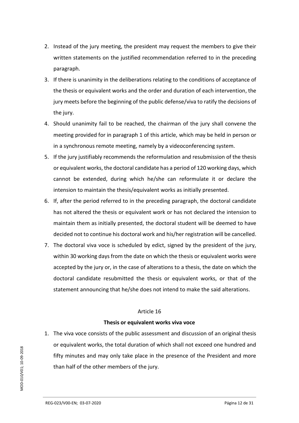- 2. Instead of the jury meeting, the president may request the members to give their written statements on the justified recommendation referred to in the preceding paragraph.
- 3. If there is unanimity in the deliberations relating to the conditions of acceptance of the thesis or equivalent works and the order and duration of each intervention, the jury meets before the beginning of the public defense/viva to ratify the decisions of the jury.
- 4. Should unanimity fail to be reached, the chairman of the jury shall convene the meeting provided for in paragraph 1 of this article, which may be held in person or in a synchronous remote meeting, namely by a videoconferencing system.
- 5. If the jury justifiably recommends the reformulation and resubmission of the thesis or equivalent works, the doctoral candidate has a period of 120 working days, which cannot be extended, during which he/she can reformulate it or declare the intension to maintain the thesis/equivalent works as initially presented.
- 6. If, after the period referred to in the preceding paragraph, the doctoral candidate has not altered the thesis or equivalent work or has not declared the intension to maintain them as initially presented, the doctoral student will be deemed to have decided not to continue his doctoral work and his/her registration will be cancelled.
- 7. The doctoral viva voce is scheduled by edict, signed by the president of the jury, within 30 working days from the date on which the thesis or equivalent works were accepted by the jury or, in the case of alterations to a thesis, the date on which the doctoral candidate resubmitted the thesis or equivalent works, or that of the statement announcing that he/she does not intend to make the said alterations.

## **Thesis or equivalent works viva voce**

1. The viva voce consists of the public assessment and discussion of an original thesis or equivalent works, the total duration of which shall not exceed one hundred and fifty minutes and may only take place in the presence of the President and more than half of the other members of the jury.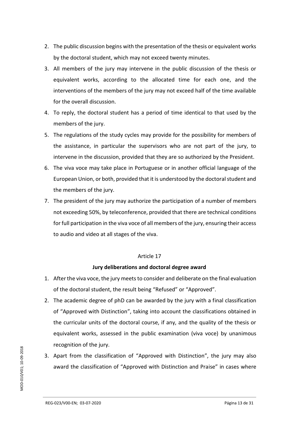- 2. The public discussion begins with the presentation of the thesis or equivalent works by the doctoral student, which may not exceed twenty minutes.
- 3. All members of the jury may intervene in the public discussion of the thesis or equivalent works, according to the allocated time for each one, and the interventions of the members of the jury may not exceed half of the time available for the overall discussion.
- 4. To reply, the doctoral student has a period of time identical to that used by the members of the jury.
- 5. The regulations of the study cycles may provide for the possibility for members of the assistance, in particular the supervisors who are not part of the jury, to intervene in the discussion, provided that they are so authorized by the President.
- 6. The viva voce may take place in Portuguese or in another official language of the European Union, or both, provided that it is understood by the doctoral student and the members of the jury.
- 7. The president of the jury may authorize the participation of a number of members not exceeding 50%, by teleconference, provided that there are technical conditions for full participation in the viva voce of all members of the jury, ensuring their access to audio and video at all stages of the viva.

## **Jury deliberations and doctoral degree award**

- 1. After the viva voce, the jury meets to consider and deliberate on the final evaluation of the doctoral student, the result being "Refused" or "Approved".
- 2. The academic degree of phD can be awarded by the jury with a final classification of "Approved with Distinction", taking into account the classifications obtained in the curricular units of the doctoral course, if any, and the quality of the thesis or equivalent works, assessed in the public examination (viva voce) by unanimous recognition of the jury.
- 3. Apart from the classification of "Approved with Distinction", the jury may also award the classification of "Approved with Distinction and Praise" in cases where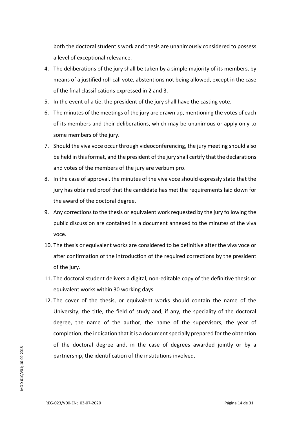both the doctoral student's work and thesis are unanimously considered to possess a level of exceptional relevance.

- 4. The deliberations of the jury shall be taken by a simple majority of its members, by means of a justified roll-call vote, abstentions not being allowed, except in the case of the final classifications expressed in 2 and 3.
- 5. In the event of a tie, the president of the jury shall have the casting vote.
- 6. The minutes of the meetings of the jury are drawn up, mentioning the votes of each of its members and their deliberations, which may be unanimous or apply only to some members of the jury.
- 7. Should the viva voce occur through videoconferencing, the jury meeting should also be held in this format, and the president of the jury shall certify that the declarations and votes of the members of the jury are verbum pro.
- 8. In the case of approval, the minutes of the viva voce should expressly state that the jury has obtained proof that the candidate has met the requirements laid down for the award of the doctoral degree.
- 9. Any corrections to the thesis or equivalent work requested by the jury following the public discussion are contained in a document annexed to the minutes of the viva voce.
- 10. The thesis or equivalent works are considered to be definitive after the viva voce or after confirmation of the introduction of the required corrections by the president of the jury.
- 11. The doctoral student delivers a digital, non-editable copy of the definitive thesis or equivalent works within 30 working days.
- 12. The cover of the thesis, or equivalent works should contain the name of the University, the title, the field of study and, if any, the speciality of the doctoral degree, the name of the author, the name of the supervisors, the year of completion, the indication that it is a document specially prepared for the obtention of the doctoral degree and, in the case of degrees awarded jointly or by a partnership, the identification of the institutions involved.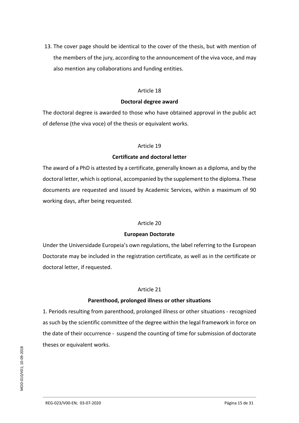13. The cover page should be identical to the cover of the thesis, but with mention of the members of the jury, according to the announcement of the viva voce, and may also mention any collaborations and funding entities.

#### Article 18

#### **Doctoral degree award**

The doctoral degree is awarded to those who have obtained approval in the public act of defense (the viva voce) of the thesis or equivalent works.

## Article 19

## **Certificate and doctoral letter**

The award of a PhD is attested by a certificate, generally known as a diploma, and by the doctoral letter, which is optional, accompanied by the supplement to the diploma. These documents are requested and issued by Academic Services, within a maximum of 90 working days, after being requested.

## Article 20

## **European Doctorate**

Under the Universidade Europeia's own regulations, the label referring to the European Doctorate may be included in the registration certificate, as well as in the certificate or doctoral letter, if requested.

## Article 21

## **Parenthood, prolonged illness or other situations**

1. Periods resulting from parenthood, prolonged illness or other situations - recognized as such by the scientific committee of the degree within the legal framework in force on the date of their occurrence - suspend the counting of time for submission of doctorate theses or equivalent works.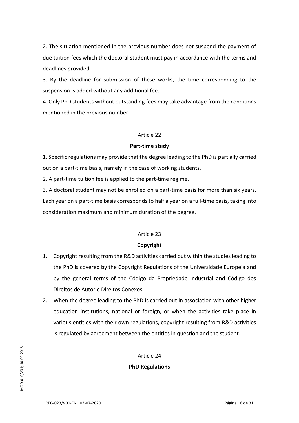2. The situation mentioned in the previous number does not suspend the payment of due tuition fees which the doctoral student must pay in accordance with the terms and deadlines provided.

3. By the deadline for submission of these works, the time corresponding to the suspension is added without any additional fee.

4. Only PhD students without outstanding fees may take advantage from the conditions mentioned in the previous number.

## Article 22

#### **Part-time study**

1. Specific regulations may provide that the degree leading to the PhD is partially carried out on a part-time basis, namely in the case of working students.

2. A part-time tuition fee is applied to the part-time regime.

3. A doctoral student may not be enrolled on a part-time basis for more than six years. Each year on a part-time basis corresponds to half a year on a full-time basis, taking into consideration maximum and minimum duration of the degree.

## Article 23

## **Copyright**

- 1. Copyright resulting from the R&D activities carried out within the studies leading to the PhD is covered by the Copyright Regulations of the Universidade Europeia and by the general terms of the Código da Propriedade Industrial and Código dos Direitos de Autor e Direitos Conexos.
- 2. When the degree leading to the PhD is carried out in association with other higher education institutions, national or foreign, or when the activities take place in various entities with their own regulations, copyright resulting from R&D activities is regulated by agreement between the entities in question and the student.

Article 24

## **PhD Regulations**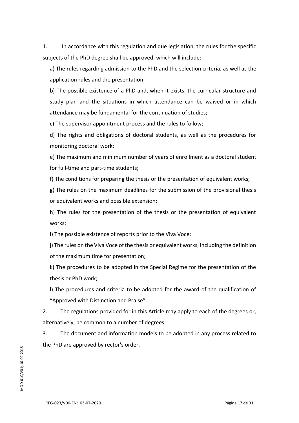1. In accordance with this regulation and due legislation, the rules for the specific subjects of the PhD degree shall be approved, which will include:

a) The rules regarding admission to the PhD and the selection criteria, as well as the application rules and the presentation;

b) The possible existence of a PhD and, when it exists, the curricular structure and study plan and the situations in which attendance can be waived or in which attendance may be fundamental for the continuation of studies;

c) The supervisor appointment process and the rules to follow;

d) The rights and obligations of doctoral students, as well as the procedures for monitoring doctoral work;

e) The maximum and minimum number of years of enrollment as a doctoral student for full-time and part-time students;

f) The conditions for preparing the thesis or the presentation of equivalent works;

g) The rules on the maximum deadlines for the submission of the provisional thesis or equivalent works and possible extension;

h) The rules for the presentation of the thesis or the presentation of equivalent works;

i) The possible existence of reports prior to the Viva Voce;

j) The rules on the Viva Voce of the thesis or equivalent works, including the definition of the maximum time for presentation;

k) The procedures to be adopted in the Special Regime for the presentation of the thesis or PhD work;

l) The procedures and criteria to be adopted for the award of the qualification of "Approved with Distinction and Praise".

2. The regulations provided for in this Article may apply to each of the degrees or, alternatively, be common to a number of degrees.

3. The document and information models to be adopted in any process related to the PhD are approved by rector's order.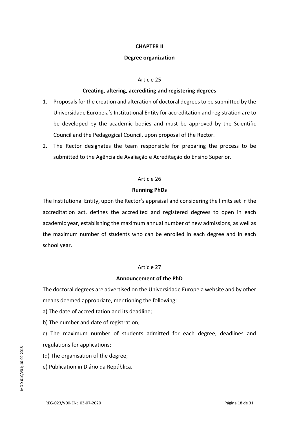#### **CHAPTER II**

#### **Degree organization**

#### Article 25

#### **Creating, altering, accrediting and registering degrees**

- 1. Proposals for the creation and alteration of doctoral degrees to be submitted by the Universidade Europeia's Institutional Entity for accreditation and registration are to be developed by the academic bodies and must be approved by the Scientific Council and the Pedagogical Council, upon proposal of the Rector.
- 2. The Rector designates the team responsible for preparing the process to be submitted to the Agência de Avaliação e Acreditação do Ensino Superior.

#### Article 26

#### **Running PhDs**

The Institutional Entity, upon the Rector's appraisal and considering the limits set in the accreditation act, defines the accredited and registered degrees to open in each academic year, establishing the maximum annual number of new admissions, as well as the maximum number of students who can be enrolled in each degree and in each school year.

## Article 27

## **Announcement of the PhD**

The doctoral degrees are advertised on the Universidade Europeia website and by other means deemed appropriate, mentioning the following:

a) The date of accreditation and its deadline;

b) The number and date of registration;

c) The maximum number of students admitted for each degree, deadlines and regulations for applications;

(d) The organisation of the degree;

e) Publication in Diário da República.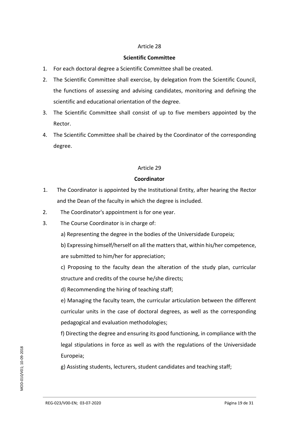## **Scientific Committee**

- 1. For each doctoral degree a Scientific Committee shall be created.
- 2. The Scientific Committee shall exercise, by delegation from the Scientific Council, the functions of assessing and advising candidates, monitoring and defining the scientific and educational orientation of the degree.
- 3. The Scientific Committee shall consist of up to five members appointed by the Rector.
- 4. The Scientific Committee shall be chaired by the Coordinator of the corresponding degree.

## Article 29

## **Coordinator**

- 1. The Coordinator is appointed by the Institutional Entity, after hearing the Rector and the Dean of the faculty in which the degree is included.
- 2. The Coordinator's appointment is for one year.
- 3. The Course Coordinator is in charge of:
	- a) Representing the degree in the bodies of the Universidade Europeia;
	- b) Expressing himself/herself on all the matters that, within his/her competence, are submitted to him/her for appreciation;

c) Proposing to the faculty dean the alteration of the study plan, curricular structure and credits of the course he/she directs;

d) Recommending the hiring of teaching staff;

e) Managing the faculty team, the curricular articulation between the different curricular units in the case of doctoral degrees, as well as the corresponding pedagogical and evaluation methodologies;

f) Directing the degree and ensuring its good functioning, in compliance with the legal stipulations in force as well as with the regulations of the Universidade Europeia;

g) Assisting students, lecturers, student candidates and teaching staff;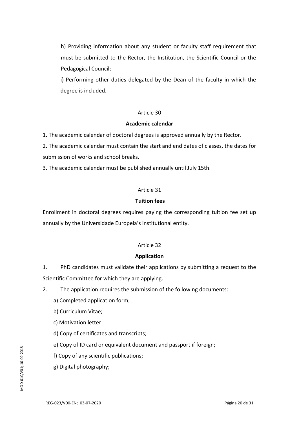h) Providing information about any student or faculty staff requirement that must be submitted to the Rector, the Institution, the Scientific Council or the Pedagogical Council;

i) Performing other duties delegated by the Dean of the faculty in which the degree is included.

## Article 30

## **Academic calendar**

1. The academic calendar of doctoral degrees is approved annually by the Rector.

2. The academic calendar must contain the start and end dates of classes, the dates for submission of works and school breaks.

3. The academic calendar must be published annually until July 15th.

## Article 31

## **Tuition fees**

Enrollment in doctoral degrees requires paying the corresponding tuition fee set up annually by the Universidade Europeia's institutional entity.

## Article 32

## **Application**

1. PhD candidates must validate their applications by submitting a request to the Scientific Committee for which they are applying.

2. The application requires the submission of the following documents:

- a) Completed application form;
- b) Curriculum Vitae;
- c) Motivation letter
- d) Copy of certificates and transcripts;
- e) Copy of ID card or equivalent document and passport if foreign;
- f) Copy of any scientific publications;
- g) Digital photography;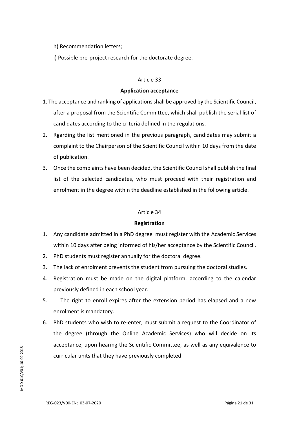- h) Recommendation letters;
- i) Possible pre-project research for the doctorate degree.

#### **Application acceptance**

- 1. The acceptance and ranking of applications shall be approved by the Scientific Council, after a proposal from the Scientific Committee, which shall publish the serial list of candidates according to the criteria defined in the regulations.
- 2. Rgarding the list mentioned in the previous paragraph, candidates may submit a complaint to the Chairperson of the Scientific Council within 10 days from the date of publication.
- 3. Once the complaints have been decided, the Scientific Council shall publish the final list of the selected candidates, who must proceed with their registration and enrolment in the degree within the deadline established in the following article.

## Article 34

## **Registration**

- 1. Any candidate admitted in a PhD degree must register with the Academic Services within 10 days after being informed of his/her acceptance by the Scientific Council.
- 2. PhD students must register annually for the doctoral degree.
- 3. The lack of enrolment prevents the student from pursuing the doctoral studies.
- 4. Registration must be made on the digital platform, according to the calendar previously defined in each school year.
- 5. The right to enroll expires after the extension period has elapsed and a new enrolment is mandatory.
- 6. PhD students who wish to re-enter, must submit a request to the Coordinator of the degree (through the Online Academic Services) who will decide on its acceptance, upon hearing the Scientific Committee, as well as any equivalence to curricular units that they have previously completed.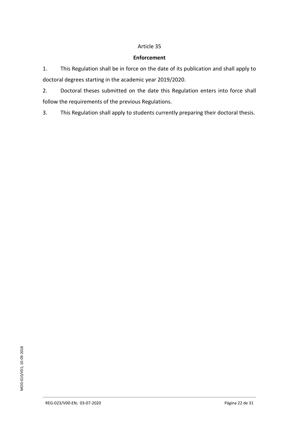## **Enforcement**

1. This Regulation shall be in force on the date of its publication and shall apply to doctoral degrees starting in the academic year 2019/2020.

2. Doctoral theses submitted on the date this Regulation enters into force shall follow the requirements of the previous Regulations.

3. This Regulation shall apply to students currently preparing their doctoral thesis.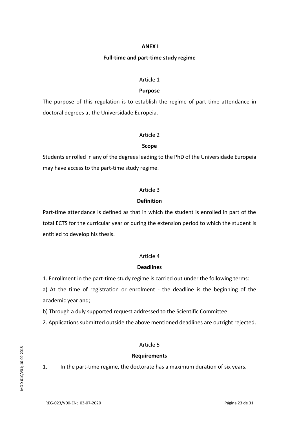#### **ANEX I**

#### **Full-time and part-time study regime**

#### Article 1

## **Purpose**

The purpose of this regulation is to establish the regime of part-time attendance in doctoral degrees at the Universidade Europeia.

#### Article 2

#### **Scope**

Students enrolled in any of the degrees leading to the PhD of the Universidade Europeia may have access to the part-time study regime.

## Article 3

## **Definition**

Part-time attendance is defined as that in which the student is enrolled in part of the total ECTS for the curricular year or during the extension period to which the student is entitled to develop his thesis.

## Article 4

## **Deadlines**

1. Enrollment in the part-time study regime is carried out under the following terms:

a) At the time of registration or enrolment - the deadline is the beginning of the academic year and;

b) Through a duly supported request addressed to the Scientific Committee.

2. Applications submitted outside the above mentioned deadlines are outright rejected.

## Article 5

## **Requirements**

1. In the part-time regime, the doctorate has a maximum duration of six years.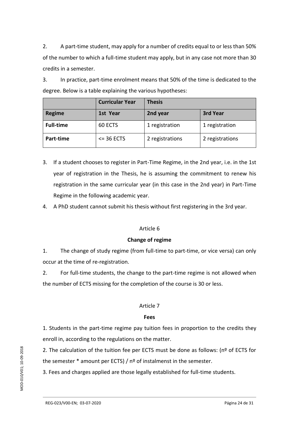2. A part-time student, may apply for a number of credits equal to or less than 50% of the number to which a full-time student may apply, but in any case not more than 30 credits in a semester.

3. In practice, part-time enrolment means that 50% of the time is dedicated to the degree. Below is a table explaining the various hypotheses:

|                  | <b>Curricular Year</b> | <b>Thesis</b>   |                 |
|------------------|------------------------|-----------------|-----------------|
| <b>Regime</b>    | 1st Year               | 2nd year        | 3rd Year        |
| <b>Full-time</b> | 60 ECTS                | 1 registration  | 1 registration  |
| Part-time        | $\leq$ 36 ECTS         | 2 registrations | 2 registrations |

- 3. If a student chooses to register in Part-Time Regime, in the 2nd year, i.e. in the 1st year of registration in the Thesis, he is assuming the commitment to renew his registration in the same curricular year (in this case in the 2nd year) in Part-Time Regime in the following academic year.
- 4. A PhD student cannot submit his thesis without first registering in the 3rd year.

## Article 6

## **Change of regime**

1. The change of study regime (from full-time to part-time, or vice versa) can only occur at the time of re-registration.

2. For full-time students, the change to the part-time regime is not allowed when the number of ECTS missing for the completion of the course is 30 or less.

## Article 7

## **Fees**

1. Students in the part-time regime pay tuition fees in proportion to the credits they enroll in, according to the regulations on the matter.

2. The calculation of the tuition fee per ECTS must be done as follows: ( $n<sup>°</sup>$  of ECTS for the semester \* amount per ECTS) / nº of instalmenst in the semester.

3. Fees and charges applied are those legally established for full-time students.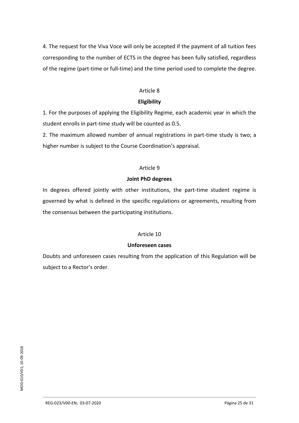4. The request for the Viva Voce will only be accepted if the payment of all tuition fees corresponding to the number of ECTS in the degree has been fully satisfied, regardless of the regime (part-time or full-time) and the time period used to complete the degree.

#### Article 8

## **Eligibility**

1. For the purposes of applying the Eligibility Regime, each academic year in which the student enrolls in part-time study will be counted as 0.5.

2. The maximum allowed number of annual registrations in part-time study is two; a higher number is subject to the Course Coordination's appraisal.

## Article 9

## **Joint PhD degrees**

In degrees offered jointly with other institutions, the part-time student regime is governed by what is defined in the specific regulations or agreements, resulting from the consensus between the participating institutions.

## Article 10

## **Unforeseen cases**

Doubts and unforeseen cases resulting from the application of this Regulation will be subject to a Rector's order.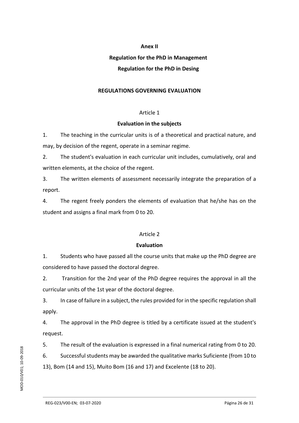#### **Anex II**

## **Regulation for the PhD in Management**

## **Regulation for the PhD in Desing**

## **REGULATIONS GOVERNING EVALUATION**

## Article 1

## **Evaluation in the subjects**

1. The teaching in the curricular units is of a theoretical and practical nature, and may, by decision of the regent, operate in a seminar regime.

2. The student's evaluation in each curricular unit includes, cumulatively, oral and written elements, at the choice of the regent.

3. The written elements of assessment necessarily integrate the preparation of a report.

4. The regent freely ponders the elements of evaluation that he/she has on the student and assigns a final mark from 0 to 20.

## Article 2

## **Evaluation**

1. Students who have passed all the course units that make up the PhD degree are considered to have passed the doctoral degree.

2. Transition for the 2nd year of the PhD degree requires the approval in all the curricular units of the 1st year of the doctoral degree.

3. In case of failure in a subject, the rules provided for in the specific regulation shall apply.

4. The approval in the PhD degree is titled by a certificate issued at the student's request.

5. The result of the evaluation is expressed in a final numerical rating from 0 to 20.

6. Successful students may be awarded the qualitative marks Suficiente (from 10 to 13), Bom (14 and 15), Muito Bom (16 and 17) and Excelente (18 to 20).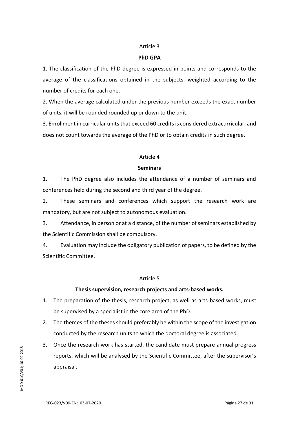#### **PhD GPA**

1. The classification of the PhD degree is expressed in points and corresponds to the average of the classifications obtained in the subjects, weighted according to the number of credits for each one.

2. When the average calculated under the previous number exceeds the exact number of units, it will be rounded rounded up or down to the unit.

3. Enrollment in curricular units that exceed 60 credits is considered extracurricular, and does not count towards the average of the PhD or to obtain credits in such degree.

#### Article 4

## **Seminars**

1. The PhD degree also includes the attendance of a number of seminars and conferences held during the second and third year of the degree.

2. These seminars and conferences which support the research work are mandatory, but are not subject to autonomous evaluation.

3. Attendance, in person or at a distance, of the number of seminars established by the Scientific Commission shall be compulsory.

4. Evaluation may include the obligatory publication of papers, to be defined by the Scientific Committee.

## Article 5

## **Thesis supervision, research projects and arts-based works.**

- 1. The preparation of the thesis, research project, as well as arts-based works, must be supervised by a specialist in the core area of the PhD.
- 2. The themes of the theses should preferably be within the scope of the investigation conducted by the research units to which the doctoral degree is associated.
- 3. Once the research work has started, the candidate must prepare annual progress reports, which will be analysed by the Scientific Committee, after the supervisor's appraisal.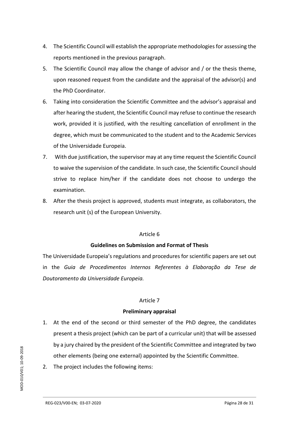- 4. The Scientific Council will establish the appropriate methodologies for assessing the reports mentioned in the previous paragraph.
- 5. The Scientific Council may allow the change of advisor and / or the thesis theme, upon reasoned request from the candidate and the appraisal of the advisor(s) and the PhD Coordinator.
- 6. Taking into consideration the Scientific Committee and the advisor's appraisal and after hearing the student, the Scientific Council may refuse to continue the research work, provided it is justified, with the resulting cancellation of enrollment in the degree, which must be communicated to the student and to the Academic Services of the Universidade Europeia.
- 7. With due justification, the supervisor may at any time request the Scientific Council to waive the supervision of the candidate. In such case, the Scientific Council should strive to replace him/her if the candidate does not choose to undergo the examination.
- 8. After the thesis project is approved, students must integrate, as collaborators, the research unit (s) of the European University.

## **Guidelines on Submission and Format of Thesis**

The Universidade Europeia's regulations and procedures for scientific papers are set out in the *Guia de Procedimentos Internos Referentes à Elaboração da Tese de Doutoramento da Universidade Europeia.*

## Article 7

## **Preliminary appraisal**

- 1. At the end of the second or third semester of the PhD degree, the candidates present a thesis project (which can be part of a curricular unit) that will be assessed by a jury chaired by the president of the Scientific Committee and integrated by two other elements (being one external) appointed by the Scientific Committee.
- 2. The project includes the following items: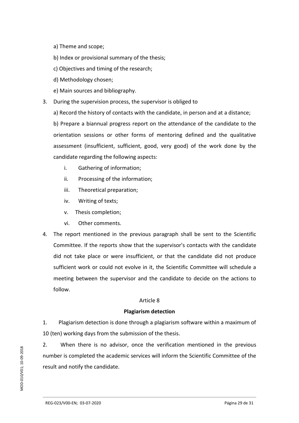a) Theme and scope;

b) Index or provisional summary of the thesis;

c) Objectives and timing of the research;

d) Methodology chosen;

e) Main sources and bibliography.

3. During the supervision process, the supervisor is obliged to

a) Record the history of contacts with the candidate, in person and at a distance;

b) Prepare a biannual progress report on the attendance of the candidate to the orientation sessions or other forms of mentoring defined and the qualitative assessment (insufficient, sufficient, good, very good) of the work done by the candidate regarding the following aspects:

- i. Gathering of information;
- ii. Processing of the information;
- iii. Theoretical preparation;
- iv. Writing of texts;
- v. Thesis completion;
- vi. Other comments.
- 4. The report mentioned in the previous paragraph shall be sent to the Scientific Committee. If the reports show that the supervisor's contacts with the candidate did not take place or were insufficient, or that the candidate did not produce sufficient work or could not evolve in it, the Scientific Committee will schedule a meeting between the supervisor and the candidate to decide on the actions to follow.

## Article 8

## **Plagiarism detection**

1. Plagiarism detection is done through a plagiarism software within a maximum of 10 (ten) working days from the submission of the thesis.

2. When there is no advisor, once the verification mentioned in the previous number is completed the academic services will inform the Scientific Committee of the result and notify the candidate.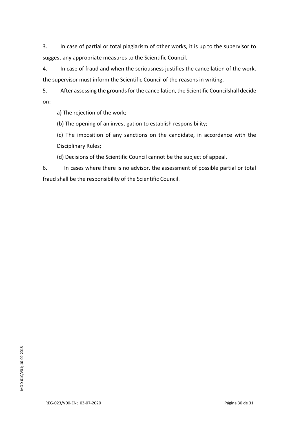3. In case of partial or total plagiarism of other works, it is up to the supervisor to suggest any appropriate measures to the Scientific Council.

4. In case of fraud and when the seriousness justifies the cancellation of the work, the supervisor must inform the Scientific Council of the reasons in writing.

5. After assessing the grounds for the cancellation, the Scientific Councilshall decide on:

a) The rejection of the work;

(b) The opening of an investigation to establish responsibility;

(c) The imposition of any sanctions on the candidate, in accordance with the Disciplinary Rules;

(d) Decisions of the Scientific Council cannot be the subject of appeal.

6. In cases where there is no advisor, the assessment of possible partial or total fraud shall be the responsibility of the Scientific Council.